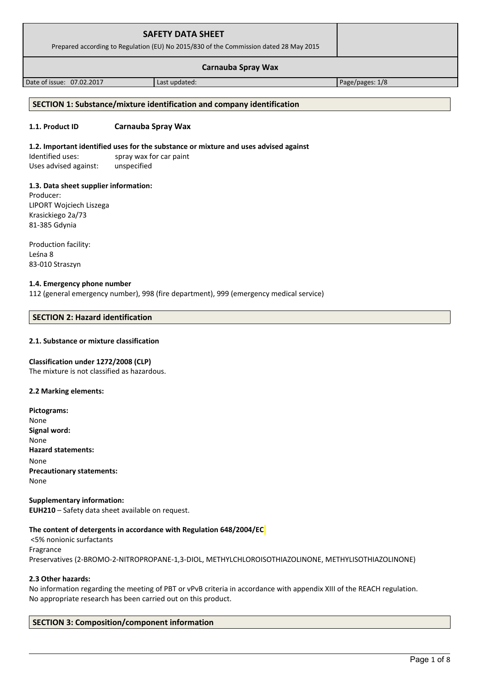| <b>SAFETY DATA SHEET</b><br>Prepared according to Regulation (EU) No 2015/830 of the Commission dated 28 May 2015 |               |                 |  |
|-------------------------------------------------------------------------------------------------------------------|---------------|-----------------|--|
| <b>Carnauba Spray Wax</b>                                                                                         |               |                 |  |
| Date of issue: 07.02.2017                                                                                         | Last updated: | Page/pages: 1/8 |  |

# **SECTION 1: Substance/mixture identification and company identification**

#### **1.1. Product ID Carnauba Spray Wax**

#### **1.2. Important identified uses for the substance or mixture and uses advised against**

Identified uses: spray wax for car paint Uses advised against: unspecified

#### **1.3. Data sheet supplier information:**

Producer: LIPORT Wojciech Liszega Krasickiego 2a/73 81-385 Gdynia

Production facility: Leśna 8 83-010 Straszyn

#### **1.4. Emergency phone number**

112 (general emergency number), 998 (fire department), 999 (emergency medical service)

#### **SECTION 2: Hazard identification**

# **2.1. Substance or mixture classification**

#### **Classification under 1272/2008 (CLP)**

The mixture is not classified as hazardous.

#### **2.2 Marking elements:**

**Pictograms:** None **Signal word:**  None **Hazard statements:** None **Precautionary statements:** None

**Supplementary information: EUH210** – Safety data sheet available on request.

#### **The content of detergents in accordance with Regulation 648/2004/EC**

 <5% nonionic surfactants Fragrance Preservatives (2-BROMO-2-NITROPROPANE-1,3-DIOL, METHYLCHLOROISOTHIAZOLINONE, METHYLISOTHIAZOLINONE)

#### **2.3 Other hazards:**

No information regarding the meeting of PBT or vPvB criteria in accordance with appendix XIII of the REACH regulation. No appropriate research has been carried out on this product.

#### **SECTION 3: Composition/component information**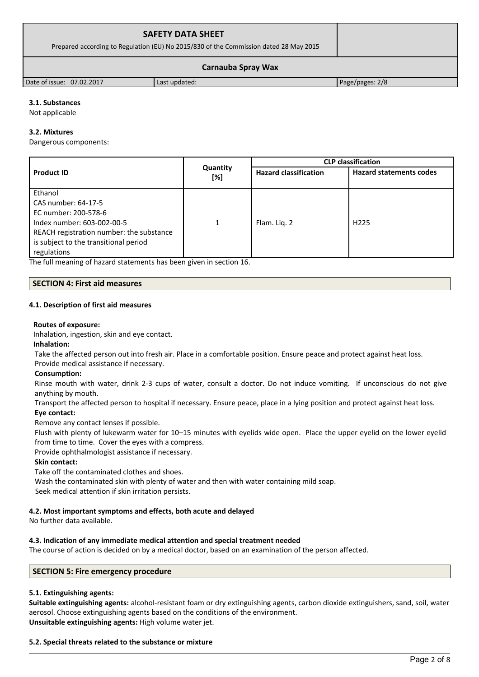| <b>SAFETY DATA SHEET</b>                                                              |               |                 |  |
|---------------------------------------------------------------------------------------|---------------|-----------------|--|
| Prepared according to Regulation (EU) No 2015/830 of the Commission dated 28 May 2015 |               |                 |  |
| Carnauba Spray Wax                                                                    |               |                 |  |
| Date of issue: 07.02.2017                                                             | Last updated: | Page/pages: 2/8 |  |

# **3.1. Substances**

Not applicable

#### **3.2. Mixtures**

Dangerous components:

|                                          |                 | <b>CLP classification</b>    |                                |  |
|------------------------------------------|-----------------|------------------------------|--------------------------------|--|
| <b>Product ID</b>                        | Quantity<br>[%] | <b>Hazard classification</b> | <b>Hazard statements codes</b> |  |
| Ethanol                                  |                 |                              |                                |  |
| CAS number: 64-17-5                      |                 |                              |                                |  |
| EC number: 200-578-6                     |                 |                              |                                |  |
| Index number: 603-002-00-5               | 1               | Flam. Lig. 2                 | H <sub>225</sub>               |  |
| REACH registration number: the substance |                 |                              |                                |  |
| is subject to the transitional period    |                 |                              |                                |  |
| regulations                              |                 |                              |                                |  |

The full meaning of hazard statements has been given in section 16.

#### **SECTION 4: First aid measures**

#### **4.1. Description of first aid measures**

#### **Routes of exposure:**

Inhalation, ingestion, skin and eye contact.

#### **Inhalation:**

Take the affected person out into fresh air. Place in a comfortable position. Ensure peace and protect against heat loss.

# Provide medical assistance if necessary.

#### **Consumption:**

Rinse mouth with water, drink 2-3 cups of water, consult a doctor. Do not induce vomiting. If unconscious do not give anything by mouth.

Transport the affected person to hospital if necessary. Ensure peace, place in a lying position and protect against heat loss.

#### **Eye contact:**

Remove any contact lenses if possible.

Flush with plenty of lukewarm water for 10–15 minutes with eyelids wide open. Place the upper eyelid on the lower eyelid from time to time. Cover the eyes with a compress.

Provide ophthalmologist assistance if necessary.

#### **Skin contact:**

Take off the contaminated clothes and shoes.

Wash the contaminated skin with plenty of water and then with water containing mild soap.

Seek medical attention if skin irritation persists.

#### **4.2. Most important symptoms and effects, both acute and delayed**

No further data available.

#### **4.3. Indication of any immediate medical attention and special treatment needed**

The course of action is decided on by a medical doctor, based on an examination of the person affected.

# **SECTION 5: Fire emergency procedure**

#### **5.1. Extinguishing agents:**

**Suitable extinguishing agents:** alcohol-resistant foam or dry extinguishing agents, carbon dioxide extinguishers, sand, soil, water aerosol. Choose extinguishing agents based on the conditions of the environment. **Unsuitable extinguishing agents:** High volume water jet.

#### **5.2. Special threats related to the substance or mixture**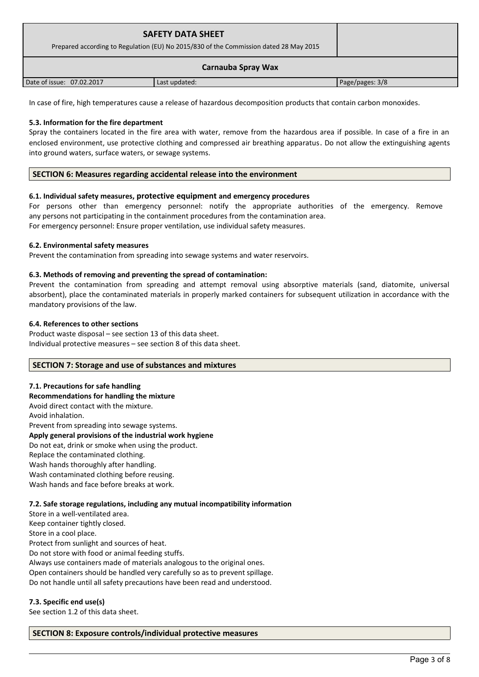| <b>SAFETY DATA SHEET</b><br>Prepared according to Regulation (EU) No 2015/830 of the Commission dated 28 May 2015 |               |                 |
|-------------------------------------------------------------------------------------------------------------------|---------------|-----------------|
|                                                                                                                   |               |                 |
| Date of issue: 07.02.2017                                                                                         | Last updated: | Page/pages: 3/8 |

In case of fire, high temperatures cause a release of hazardous decomposition products that contain carbon monoxides.

# **5.3. Information for the fire department**

Spray the containers located in the fire area with water, remove from the hazardous area if possible. In case of a fire in an enclosed environment, use protective clothing and compressed air breathing apparatus. Do not allow the extinguishing agents into ground waters, surface waters, or sewage systems.

#### **SECTION 6: Measures regarding accidental release into the environment**

#### **6.1. Individual safety measures, protective equipment and emergency procedures**

For persons other than emergency personnel: notify the appropriate authorities of the emergency. Remove any persons not participating in the containment procedures from the contamination area. For emergency personnel: Ensure proper ventilation, use individual safety measures.

#### **6.2. Environmental safety measures**

Prevent the contamination from spreading into sewage systems and water reservoirs.

#### **6.3. Methods of removing and preventing the spread of contamination:**

Prevent the contamination from spreading and attempt removal using absorptive materials (sand, diatomite, universal absorbent), place the contaminated materials in properly marked containers for subsequent utilization in accordance with the mandatory provisions of the law.

#### **6.4. References to other sections**

Product waste disposal – see section 13 of this data sheet. Individual protective measures – see section 8 of this data sheet.

#### **SECTION 7: Storage and use of substances and mixtures**

#### **7.1. Precautions for safe handling**

#### **Recommendations for handling the mixture**

Avoid direct contact with the mixture. Avoid inhalation. Prevent from spreading into sewage systems. **Apply general provisions of the industrial work hygiene**  Do not eat, drink or smoke when using the product. Replace the contaminated clothing. Wash hands thoroughly after handling. Wash contaminated clothing before reusing. Wash hands and face before breaks at work.

#### **7.2. Safe storage regulations, including any mutual incompatibility information**

Store in a well-ventilated area. Keep container tightly closed. Store in a cool place. Protect from sunlight and sources of heat. Do not store with food or animal feeding stuffs. Always use containers made of materials analogous to the original ones. Open containers should be handled very carefully so as to prevent spillage. Do not handle until all safety precautions have been read and understood.

#### **7.3. Specific end use(s)**

See section 1.2 of this data sheet.

#### **SECTION 8: Exposure controls/individual protective measures**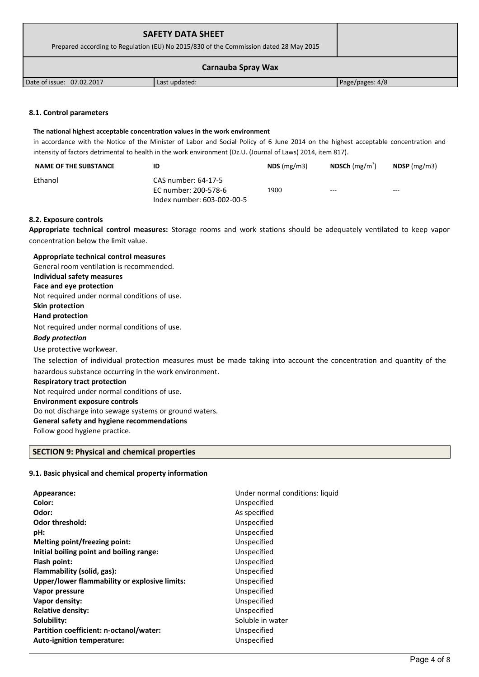| <b>SAFETY DATA SHEET</b><br>Prepared according to Regulation (EU) No 2015/830 of the Commission dated 28 May 2015 |               |                 |  |
|-------------------------------------------------------------------------------------------------------------------|---------------|-----------------|--|
| <b>Carnauba Spray Wax</b>                                                                                         |               |                 |  |
| Date of issue: 07.02.2017                                                                                         | Last updated: | Page/pages: 4/8 |  |

#### **8.1. Control parameters**

#### **The national highest acceptable concentration values in the work environment**

in accordance with the Notice of the Minister of Labor and Social Policy of 6 June 2014 on the highest acceptable concentration and intensity of factors detrimental to health in the work environment (Dz.U. (Journal of Laws) 2014, item 817).

| <b>NAME OF THE SUBSTANCE</b> | ID                                                                        | $NDS$ (mg/m3) | <b>NDSCh</b> (mg/m <sup>3</sup> ) | NDSP $(mg/m3)$ |
|------------------------------|---------------------------------------------------------------------------|---------------|-----------------------------------|----------------|
| Ethanol                      | CAS number: 64-17-5<br>EC number: 200-578-6<br>Index number: 603-002-00-5 | 1900          | $---$                             | $\frac{1}{2}$  |

#### **8.2. Exposure controls**

**Appropriate technical control measures:** Storage rooms and work stations should be adequately ventilated to keep vapor concentration below the limit value.

| Appropriate technical control measures                                                                                 |
|------------------------------------------------------------------------------------------------------------------------|
| General room ventilation is recommended.                                                                               |
| Individual safety measures                                                                                             |
| Face and eye protection                                                                                                |
| Not required under normal conditions of use.                                                                           |
| Skin protection                                                                                                        |
| <b>Hand protection</b>                                                                                                 |
| Not required under normal conditions of use.                                                                           |
| <b>Body protection</b>                                                                                                 |
| Use protective workwear.                                                                                               |
| The selection of individual protection measures must be made taking into account the concentration and quantity of the |
| hazardous substance occurring in the work environment.                                                                 |
| <b>Respiratory tract protection</b>                                                                                    |
| Not required under normal conditions of use.                                                                           |
| <b>Environment exposure controls</b>                                                                                   |
| Do not discharge into sewage systems or ground waters.                                                                 |
| General safety and hygiene recommendations                                                                             |
| Follow good hygiene practice.                                                                                          |
|                                                                                                                        |

# **SECTION 9: Physical and chemical properties**

# **9.1. Basic physical and chemical property information**

| Appearance:                                   | Under normal conditions: liquid |
|-----------------------------------------------|---------------------------------|
| Color:                                        | Unspecified                     |
| Odor:                                         | As specified                    |
| <b>Odor threshold:</b>                        | Unspecified                     |
| pH:                                           | Unspecified                     |
| Melting point/freezing point:                 | Unspecified                     |
| Initial boiling point and boiling range:      | Unspecified                     |
| Flash point:                                  | Unspecified                     |
| Flammability (solid, gas):                    | Unspecified                     |
| Upper/lower flammability or explosive limits: | Unspecified                     |
| Vapor pressure                                | Unspecified                     |
| Vapor density:                                | Unspecified                     |
| <b>Relative density:</b>                      | Unspecified                     |
| Solubility:                                   | Soluble in water                |
| Partition coefficient: n-octanol/water:       | Unspecified                     |
| Auto-ignition temperature:                    | Unspecified                     |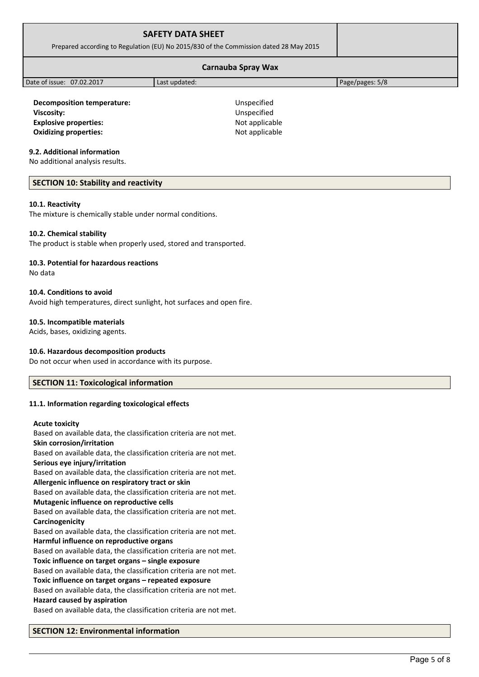| <b>SAFETY DATA SHEET</b><br>Prepared according to Regulation (EU) No 2015/830 of the Commission dated 28 May 2015 |               |                 |  |
|-------------------------------------------------------------------------------------------------------------------|---------------|-----------------|--|
| <b>Carnauba Spray Wax</b>                                                                                         |               |                 |  |
| Date of issue: 07.02.2017                                                                                         | Last updated: | Page/pages: 5/8 |  |
|                                                                                                                   |               |                 |  |

**Decomposition temperature:** Unspecified **Viscosity:** Unspecified **Explosive properties:** Not applicable **Oxidizing properties:** Not applicable

#### **9.2. Additional information**

No additional analysis results.

#### **SECTION 10: Stability and reactivity**

#### **10.1. Reactivity**

The mixture is chemically stable under normal conditions.

#### **10.2. Chemical stability**

The product is stable when properly used, stored and transported.

#### **10.3. Potential for hazardous reactions**

No data

#### **10.4. Conditions to avoid**

Avoid high temperatures, direct sunlight, hot surfaces and open fire.

#### **10.5. Incompatible materials**

Acids, bases, oxidizing agents.

#### **10.6. Hazardous decomposition products**

Do not occur when used in accordance with its purpose.

# **SECTION 11: Toxicological information**

#### **11.1. Information regarding toxicological effects**

#### **Acute toxicity**

Based on available data, the classification criteria are not met. **Skin corrosion/irritation** Based on available data, the classification criteria are not met. **Serious eye injury/irritation** Based on available data, the classification criteria are not met. **Allergenic influence on respiratory tract or skin** Based on available data, the classification criteria are not met. **Mutagenic influence on reproductive cells** Based on available data, the classification criteria are not met. **Carcinogenicity** Based on available data, the classification criteria are not met. **Harmful influence on reproductive organs** Based on available data, the classification criteria are not met. **Toxic influence on target organs – single exposure** Based on available data, the classification criteria are not met. **Toxic influence on target organs – repeated exposure** Based on available data, the classification criteria are not met. **Hazard caused by aspiration** Based on available data, the classification criteria are not met.

#### **SECTION 12: Environmental information**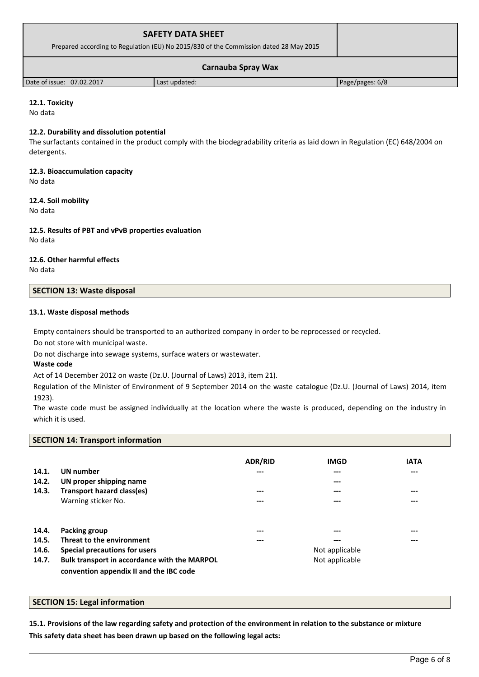| <b>SAFETY DATA SHEET</b><br>Prepared according to Regulation (EU) No 2015/830 of the Commission dated 28 May 2015 |               |                 |  |
|-------------------------------------------------------------------------------------------------------------------|---------------|-----------------|--|
| <b>Carnauba Spray Wax</b>                                                                                         |               |                 |  |
| Date of issue: 07.02.2017                                                                                         | Last updated: | Page/pages: 6/8 |  |

# **12.1. Toxicity**

No data

#### **12.2. Durability and dissolution potential**

The surfactants contained in the product comply with the biodegradability criteria as laid down in Regulation (EC) 648/2004 on detergents.

# **12.3. Bioaccumulation capacity**

No data

# **12.4. Soil mobility**

No data

# **12.5. Results of PBT and vPvB properties evaluation**

No data

# **12.6. Other harmful effects**

No data

# **SECTION 13: Waste disposal**

# **13.1. Waste disposal methods**

Empty containers should be transported to an authorized company in order to be reprocessed or recycled.

Do not store with municipal waste.

Do not discharge into sewage systems, surface waters or wastewater.

# **Waste code**

Act of 14 December 2012 on waste (Dz.U. (Journal of Laws) 2013, item 21).

Regulation of the Minister of Environment of 9 September 2014 on the waste catalogue (Dz.U. (Journal of Laws) 2014, item 1923).

The waste code must be assigned individually at the location where the waste is produced, depending on the industry in which it is used.

# **SECTION 14: Transport information**

| 14.1.<br>14.2.<br>14.3. | <b>UN</b> number<br>UN proper shipping name<br>Transport hazard class(es)               | ADR/RID<br>---<br>--- | <b>IMGD</b><br>---<br>---<br>--- | <b>IATA</b><br>---<br>$- - -$ |
|-------------------------|-----------------------------------------------------------------------------------------|-----------------------|----------------------------------|-------------------------------|
|                         | Warning sticker No.                                                                     | ---                   | ---                              | ---                           |
| 14.4.                   | <b>Packing group</b>                                                                    | ---                   | ---                              | $- - -$                       |
| 14.5.                   | Threat to the environment                                                               | ---                   | ---                              | ---                           |
| 14.6.                   | Special precautions for users                                                           |                       | Not applicable                   |                               |
| 14.7.                   | Bulk transport in accordance with the MARPOL<br>convention appendix II and the IBC code |                       | Not applicable                   |                               |

# **SECTION 15: Legal information**

**15.1. Provisions of the law regarding safety and protection of the environment in relation to the substance or mixture This safety data sheet has been drawn up based on the following legal acts:**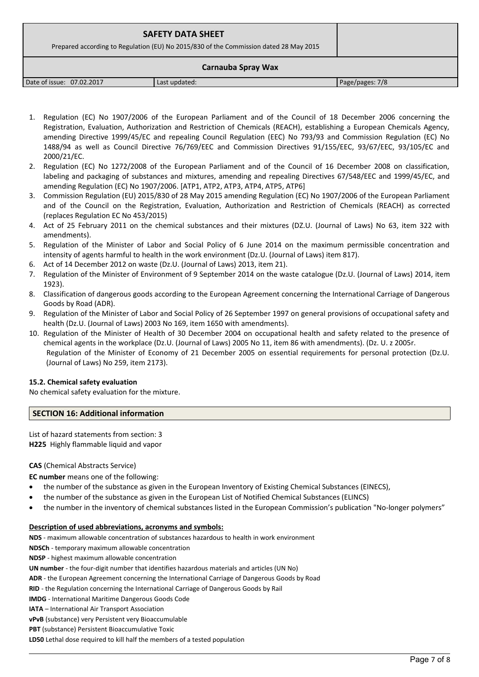| <b>SAFETY DATA SHEET</b><br>Prepared according to Regulation (EU) No 2015/830 of the Commission dated 28 May 2015 |               |                 |
|-------------------------------------------------------------------------------------------------------------------|---------------|-----------------|
|                                                                                                                   |               |                 |
| Date of issue: 07.02.2017                                                                                         | Last updated: | Page/pages: 7/8 |

- 1. Regulation (EC) No 1907/2006 of the European Parliament and of the Council of 18 December 2006 concerning the Registration, Evaluation, Authorization and Restriction of Chemicals (REACH), establishing a European Chemicals Agency, amending Directive 1999/45/EC and repealing Council Regulation (EEC) No 793/93 and Commission Regulation (EC) No 1488/94 as well as Council Directive 76/769/EEC and Commission Directives 91/155/EEC, 93/67/EEC, 93/105/EC and 2000/21/EC.
- 2. Regulation (EC) No 1272/2008 of the European Parliament and of the Council of 16 December 2008 on classification, labeling and packaging of substances and mixtures, amending and repealing Directives 67/548/EEC and 1999/45/EC, and amending Regulation (EC) No 1907/2006. [ATP1, ATP2, ATP3, ATP4, ATP5, ATP6]
- 3. Commission Regulation (EU) 2015/830 of 28 May 2015 amending Regulation (EC) No 1907/2006 of the European Parliament and of the Council on the Registration, Evaluation, Authorization and Restriction of Chemicals (REACH) as corrected (replaces Regulation EC No 453/2015)
- 4. Act of 25 February 2011 on the chemical substances and their mixtures (DZ.U. (Journal of Laws) No 63, item 322 with amendments).
- 5. Regulation of the Minister of Labor and Social Policy of 6 June 2014 on the maximum permissible concentration and intensity of agents harmful to health in the work environment (Dz.U. (Journal of Laws) item 817).
- 6. Act of 14 December 2012 on waste (Dz.U. (Journal of Laws) 2013, item 21).
- 7. Regulation of the Minister of Environment of 9 September 2014 on the waste catalogue (Dz.U. (Journal of Laws) 2014, item 1923).
- 8. Classification of dangerous goods according to the European Agreement concerning the International Carriage of Dangerous Goods by Road (ADR).
- 9. Regulation of the Minister of Labor and Social Policy of 26 September 1997 on general provisions of occupational safety and health (Dz.U. (Journal of Laws) 2003 No 169, item 1650 with amendments).
- 10. Regulation of the Minister of Health of 30 December 2004 on occupational health and safety related to the presence of chemical agents in the workplace (Dz.U. (Journal of Laws) 2005 No 11, item 86 with amendments). (Dz. U. z 2005r. Regulation of the Minister of Economy of 21 December 2005 on essential requirements for personal protection (Dz.U. (Journal of Laws) No 259, item 2173).

#### **15.2. Chemical safety evaluation**

No chemical safety evaluation for the mixture.

# **SECTION 16: Additional information**

List of hazard statements from section: 3 **H225** Highly flammable liquid and vapor

# **CAS** (Chemical Abstracts Service)

- **EC number** means one of the following:
- the number of the substance as given in the European Inventory of Existing Chemical Substances (EINECS),
- the number of the substance as given in the European List of Notified Chemical Substances (ELINCS)
- the number in the inventory of chemical substances listed in the European Commission's publication "No-longer polymers"

#### **Description of used abbreviations, acronyms and symbols:**

**NDS** - maximum allowable concentration of substances hazardous to health in work environment

**NDSCh** - temporary maximum allowable concentration

**NDSP** - highest maximum allowable concentration

**UN number** - the four-digit number that identifies hazardous materials and articles (UN No)

**ADR** - the European Agreement concerning the International Carriage of Dangerous Goods by Road

**RID** - the Regulation concerning the International Carriage of Dangerous Goods by Rail

**IMDG** - International Maritime Dangerous Goods Code

**IATA** – International Air Transport Association

**vPvB** (substance) very Persistent very Bioaccumulable

**PBT** (substance) Persistent Bioaccumulative Toxic

**LD50** Lethal dose required to kill half the members of a tested population